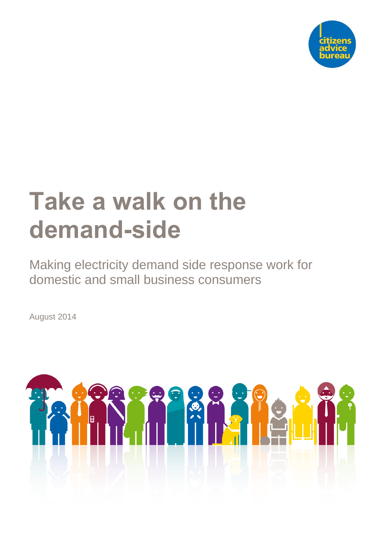

# **Take a walk on the demand-side**

Making electricity demand side response work for domestic and small business consumers

August 2014

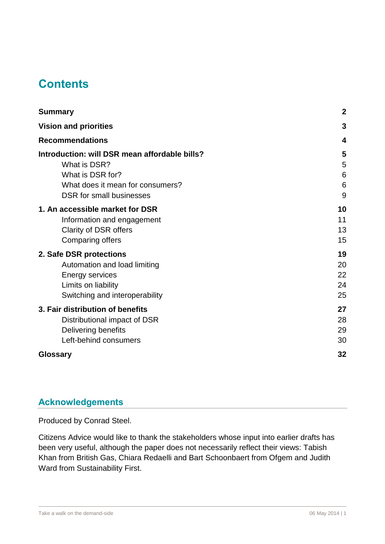# **Contents**

| <b>Summary</b>                                | $\boldsymbol{2}$ |
|-----------------------------------------------|------------------|
| <b>Vision and priorities</b>                  | 3                |
| <b>Recommendations</b>                        | 4                |
| Introduction: will DSR mean affordable bills? | 5                |
| What is DSR?                                  | 5                |
| What is DSR for?                              | 6                |
| What does it mean for consumers?              | 6                |
| DSR for small businesses                      | 9                |
| 1. An accessible market for DSR               | 10               |
| Information and engagement                    | 11               |
| Clarity of DSR offers                         | 13               |
| <b>Comparing offers</b>                       | 15               |
| 2. Safe DSR protections                       | 19               |
| Automation and load limiting                  | 20               |
| Energy services                               | 22               |
| Limits on liability                           | 24               |
| Switching and interoperability                | 25               |
| 3. Fair distribution of benefits              | 27               |
| Distributional impact of DSR                  | 28               |
| Delivering benefits                           | 29               |
| Left-behind consumers                         | 30               |
| Glossary                                      | 32               |

## **Acknowledgements**

Produced by Conrad Steel.

Citizens Advice would like to thank the stakeholders whose input into earlier drafts has been very useful, although the paper does not necessarily reflect their views: Tabish Khan from British Gas, Chiara Redaelli and Bart Schoonbaert from Ofgem and Judith Ward from Sustainability First.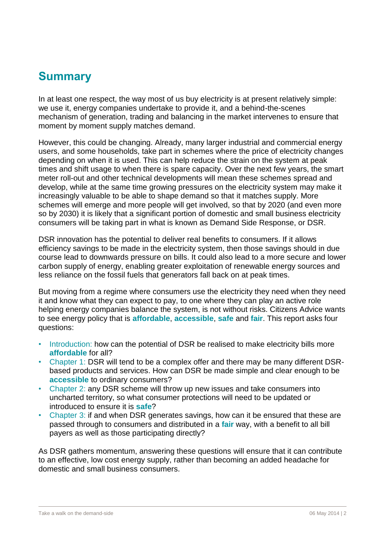# <span id="page-2-0"></span>**Summary**

In at least one respect, the way most of us buy electricity is at present relatively simple: we use it, energy companies undertake to provide it, and a behind-the-scenes mechanism of generation, trading and balancing in the market intervenes to ensure that moment by moment supply matches demand.

However, this could be changing. Already, many larger industrial and commercial energy users, and some households, take part in schemes where the price of electricity changes depending on when it is used. This can help reduce the strain on the system at peak times and shift usage to when there is spare capacity. Over the next few years, the smart meter roll-out and other technical developments will mean these schemes spread and develop, while at the same time growing pressures on the electricity system may make it increasingly valuable to be able to shape demand so that it matches supply. More schemes will emerge and more people will get involved, so that by 2020 (and even more so by 2030) it is likely that a significant portion of domestic and small business electricity consumers will be taking part in what is known as Demand Side Response, or DSR.

DSR innovation has the potential to deliver real benefits to consumers. If it allows efficiency savings to be made in the electricity system, then those savings should in due course lead to downwards pressure on bills. It could also lead to a more secure and lower carbon supply of energy, enabling greater exploitation of renewable energy sources and less reliance on the fossil fuels that generators fall back on at peak times.

But moving from a regime where consumers use the electricity they need when they need it and know what they can expect to pay, to one where they can play an active role helping energy companies balance the system, is not without risks. Citizens Advice wants to see energy policy that is **affordable**, **accessible**, **safe** and **fair**. This report asks four questions:

- Introduction: how can the potential of DSR be realised to make electricity bills more **affordable** for all?
- Chapter 1: DSR will tend to be a complex offer and there may be many different DSRbased products and services. How can DSR be made simple and clear enough to be **accessible** to ordinary consumers?
- Chapter 2: any DSR scheme will throw up new issues and take consumers into uncharted territory, so what consumer protections will need to be updated or introduced to ensure it is **safe**?
- Chapter 3: if and when DSR generates savings, how can it be ensured that these are passed through to consumers and distributed in a **fair** way, with a benefit to all bill payers as well as those participating directly?

As DSR gathers momentum, answering these questions will ensure that it can contribute to an effective, low cost energy supply, rather than becoming an added headache for domestic and small business consumers.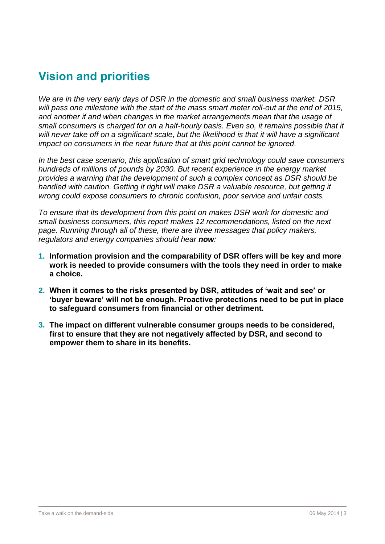# <span id="page-3-0"></span>**Vision and priorities**

*We are in the very early days of DSR in the domestic and small business market. DSR will pass one milestone with the start of the mass smart meter roll-out at the end of 2015, and another if and when changes in the market arrangements mean that the usage of small consumers is charged for on a half-hourly basis. Even so, it remains possible that it will never take off on a significant scale, but the likelihood is that it will have a significant impact on consumers in the near future that at this point cannot be ignored.*

*In the best case scenario, this application of smart grid technology could save consumers hundreds of millions of pounds by 2030. But recent experience in the energy market provides a warning that the development of such a complex concept as DSR should be handled with caution. Getting it right will make DSR a valuable resource, but getting it wrong could expose consumers to chronic confusion, poor service and unfair costs.*

*To ensure that its development from this point on makes DSR work for domestic and small business consumers, this report makes 12 recommendations, listed on the next page. Running through all of these, there are three messages that policy makers, regulators and energy companies should hear now:*

- **1. Information provision and the comparability of DSR offers will be key and more work is needed to provide consumers with the tools they need in order to make a choice.**
- **2. When it comes to the risks presented by DSR, attitudes of 'wait and see' or 'buyer beware' will not be enough. Proactive protections need to be put in place to safeguard consumers from financial or other detriment.**
- **3. The impact on different vulnerable consumer groups needs to be considered, first to ensure that they are not negatively affected by DSR, and second to empower them to share in its benefits.**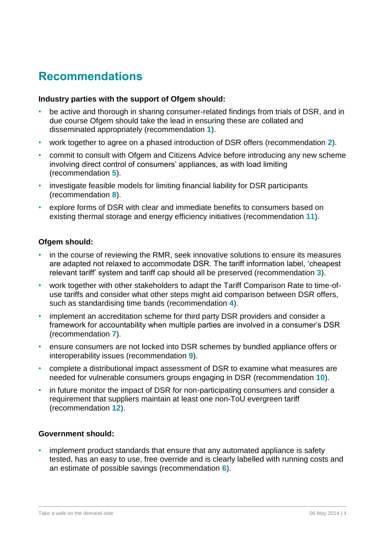# <span id="page-4-0"></span>**Recommendations**

#### **Industry parties with the support of Ofgem should:**

- be active and thorough in sharing consumer-related findings from trials of DSR, and in due course Ofgem should take the lead in ensuring these are collated and disseminated appropriately (recommendation **1**).
- work together to agree on a phased introduction of DSR offers (recommendation **2**).
- commit to consult with Ofgem and Citizens Advice before introducing any new scheme involving direct control of consumers' appliances, as with load limiting (recommendation **5**).
- investigate feasible models for limiting financial liability for DSR participants (recommendation **8**).
- explore forms of DSR with clear and immediate benefits to consumers based on existing thermal storage and energy efficiency initiatives (recommendation **11**).

#### **Ofgem should:**

- in the course of reviewing the RMR, seek innovative solutions to ensure its measures are adapted not relaxed to accommodate DSR. The tariff information label, 'cheapest relevant tariff' system and tariff cap should all be preserved (recommendation **3**).
- work together with other stakeholders to adapt the Tariff Comparison Rate to time-ofuse tariffs and consider what other steps might aid comparison between DSR offers, such as standardising time bands (recommendation **4**).
- implement an accreditation scheme for third party DSR providers and consider a framework for accountability when multiple parties are involved in a consumer's DSR (recommendation **7**).
- ensure consumers are not locked into DSR schemes by bundled appliance offers or interoperability issues (recommendation **9**).
- complete a distributional impact assessment of DSR to examine what measures are needed for vulnerable consumers groups engaging in DSR (recommendation **10**).
- in future monitor the impact of DSR for non-participating consumers and consider a requirement that suppliers maintain at least one non-ToU evergreen tariff (recommendation **12**).

#### **Government should:**

• implement product standards that ensure that any automated appliance is safety tested, has an easy to use, free override and is clearly labelled with running costs and an estimate of possible savings (recommendation **6**).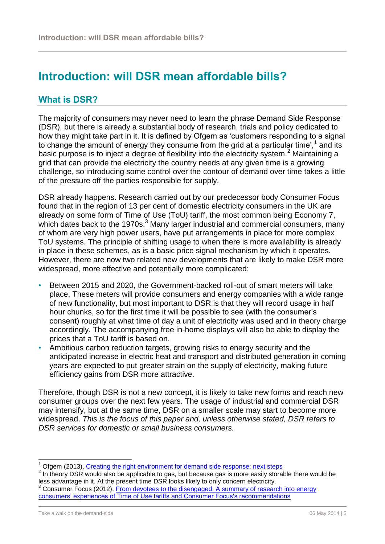# <span id="page-5-0"></span>**Introduction: will DSR mean affordable bills?**

## <span id="page-5-1"></span>**What is DSR?**

The majority of consumers may never need to learn the phrase Demand Side Response (DSR), but there is already a substantial body of research, trials and policy dedicated to how they might take part in it. It is defined by Ofgem as 'customers responding to a signal to change the amount of energy they consume from the grid at a particular time',<sup>1</sup> and its basic purpose is to inject a degree of flexibility into the electricity system.<sup>2</sup> Maintaining a grid that can provide the electricity the country needs at any given time is a growing challenge, so introducing some control over the contour of demand over time takes a little of the pressure off the parties responsible for supply.

DSR already happens. Research carried out by our predecessor body Consumer Focus found that in the region of 13 per cent of domestic electricity consumers in the UK are already on some form of Time of Use (ToU) tariff, the most common being Economy 7, which dates back to the 1970s. $3$  Many larger industrial and commercial consumers, many of whom are very high power users, have put arrangements in place for more complex ToU systems. The principle of shifting usage to when there is more availability is already in place in these schemes, as is a basic price signal mechanism by which it operates. However, there are now two related new developments that are likely to make DSR more widespread, more effective and potentially more complicated:

- Between 2015 and 2020, the Government-backed roll-out of smart meters will take place. These meters will provide consumers and energy companies with a wide range of new functionality, but most important to DSR is that they will record usage in half hour chunks, so for the first time it will be possible to see (with the consumer's consent) roughly at what time of day a unit of electricity was used and in theory charge accordingly*.* The accompanying free in-home displays will also be able to display the prices that a ToU tariff is based on.
- Ambitious carbon reduction targets, growing risks to energy security and the anticipated increase in electric heat and transport and distributed generation in coming years are expected to put greater strain on the supply of electricity, making future efficiency gains from DSR more attractive.

Therefore, though DSR is not a new concept, it is likely to take new forms and reach new consumer groups over the next few years. The usage of industrial and commercial DSR may intensify, but at the same time, DSR on a smaller scale may start to become more widespread. *This is the focus of this paper and, unless otherwise stated, DSR refers to DSR services for domestic or small business consumers.*

Ofgem (2013), [Creating the right environment for demand side response: next steps](https://www.ofgem.gov.uk/ofgem-publications/85129/creatingtherightenvironmentfordemandsideresponsenextsteps.pdf)

 $2$  In theory DSR would also be applicable to gas, but because gas is more easily storable there would be less advantage in it. At the present time DSR looks likely to only concern electricity.

Consumer Focus (2012), From devotees to the disengaged: A summary of research into energy [consumers' experiences of Time of Use tariffs and Consumer Focus's recommendations](http://www.consumerfocus.org.uk/files/2012/09/From-devotees-to-the-disengaged.pdf)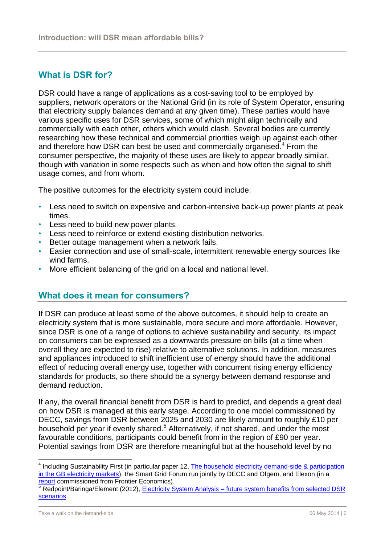## <span id="page-6-0"></span>**What is DSR for?**

DSR could have a range of applications as a cost-saving tool to be employed by suppliers, network operators or the National Grid (in its role of System Operator, ensuring that electricity supply balances demand at any given time). These parties would have various specific uses for DSR services, some of which might align technically and commercially with each other, others which would clash. Several bodies are currently researching how these technical and commercial priorities weigh up against each other and therefore how DSR can best be used and commercially organised.<sup>4</sup> From the consumer perspective, the majority of these uses are likely to appear broadly similar, though with variation in some respects such as when and how often the signal to shift usage comes, and from whom.

The positive outcomes for the electricity system could include:

- Less need to switch on expensive and carbon-intensive back-up power plants at peak times.
- Less need to build new power plants.
- Less need to reinforce or extend existing distribution networks.
- Better outage management when a network fails.
- Easier connection and use of small-scale, intermittent renewable energy sources like wind farms.
- More efficient balancing of the grid on a local and national level.

#### <span id="page-6-1"></span>**What does it mean for consumers?**

If DSR can produce at least some of the above outcomes, it should help to create an electricity system that is more sustainable, more secure and more affordable. However, since DSR is one of a range of options to achieve sustainability and security, its impact on consumers can be expressed as a downwards pressure on bills (at a time when overall they are expected to rise) relative to alternative solutions. In addition, measures and appliances introduced to shift inefficient use of energy should have the additional effect of reducing overall energy use, together with concurrent rising energy efficiency standards for products, so there should be a synergy between demand response and demand reduction.

If any, the overall financial benefit from DSR is hard to predict, and depends a great deal on how DSR is managed at this early stage. According to one model commissioned by DECC, savings from DSR between 2025 and 2030 are likely amount to roughly £10 per household per year if evenly shared.<sup>5</sup> Alternatively, if not shared, and under the most favourable conditions, participants could benefit from in the region of £90 per year. Potential savings from DSR are therefore meaningful but at the household level by no

 4 Including Sustainability First (in particular paper 12, [The household electricity demand-side & participation](http://www.sustainabilityfirst.org.uk/docs/2014/Sustainability%20First%20-%20Paper%2012%20-%20Household%20Electricity%20Demand-Side%20%20Participation%20in%20the%20GB%20Electricity%20Markets%20-%2031%20July%202014%20-%20FINAL.pdf)  [in the GB electricity markets\)](http://www.sustainabilityfirst.org.uk/docs/2014/Sustainability%20First%20-%20Paper%2012%20-%20Household%20Electricity%20Demand-Side%20%20Participation%20in%20the%20GB%20Electricity%20Markets%20-%2031%20July%202014%20-%20FINAL.pdf), the Smart Grid Forum run jointly by DECC and Ofgem, and Elexon (in a ort commissioned from Frontier Economics).

Redpoint/Baringa/Element (2012), Electricity System Analysis – future system benefits from selected DSR [scenarios](https://www.gov.uk/government/uploads/system/uploads/attachment_data/file/48551/5759-electricity-system-analysis--future-system-benefit.pdf)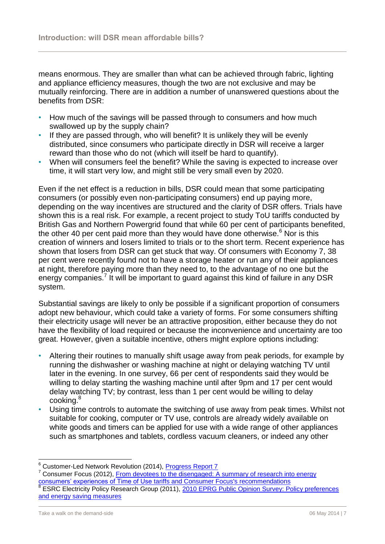means enormous. They are smaller than what can be achieved through fabric, lighting and appliance efficiency measures, though the two are not exclusive and may be mutually reinforcing. There are in addition a number of unanswered questions about the benefits from DSR:

- How much of the savings will be passed through to consumers and how much swallowed up by the supply chain?
- If they are passed through, who will benefit? It is unlikely they will be evenly distributed, since consumers who participate directly in DSR will receive a larger reward than those who do not (which will itself be hard to quantify).
- When will consumers feel the benefit? While the saving is expected to increase over time, it will start very low, and might still be very small even by 2020.

Even if the net effect is a reduction in bills, DSR could mean that some participating consumers (or possibly even non-participating consumers) end up paying more, depending on the way incentives are structured and the clarity of DSR offers. Trials have shown this is a real risk. For example, a recent project to study ToU tariffs conducted by British Gas and Northern Powergrid found that while 60 per cent of participants benefited, the other 40 per cent paid more than they would have done otherwise. $6$  Nor is this creation of winners and losers limited to trials or to the short term. Recent experience has shown that losers from DSR can get stuck that way. Of consumers with Economy 7, 38 per cent were recently found not to have a storage heater or run any of their appliances at night, therefore paying more than they need to, to the advantage of no one but the energy companies.<sup>7</sup> It will be important to guard against this kind of failure in any DSR system.

Substantial savings are likely to only be possible if a significant proportion of consumers adopt new behaviour, which could take a variety of forms. For some consumers shifting their electricity usage will never be an attractive proposition, either because they do not have the flexibility of load required or because the inconvenience and uncertainty are too great. However, given a suitable incentive, others might explore options including:

- Altering their routines to manually shift usage away from peak periods, for example by running the dishwasher or washing machine at night or delaying watching TV until later in the evening. In one survey, 66 per cent of respondents said they would be willing to delay starting the washing machine until after 9pm and 17 per cent would delay watching TV; by contrast, less than 1 per cent would be willing to delay cooking.<sup>8</sup>
- Using time controls to automate the switching of use away from peak times. Whilst not suitable for cooking, computer or TV use, controls are already widely available on white goods and timers can be applied for use with a wide range of other appliances such as smartphones and tablets, cordless vacuum cleaners, or indeed any other

<sup>&</sup>lt;sup>6</sup> Customer-Led Network Revolution (2014), [Progress Report 7](http://www.networkrevolution.co.uk/wp-content/uploads/2014/07/CLNR-Progress-Report-7-New-links-.pdf)

<sup>7</sup> Consumer Focus (2012), [From devotees to the disengaged: A summary of research into energy](http://www.consumerfocus.org.uk/files/2012/09/From-devotees-to-the-disengaged.pdf)  [consumers' experiences of Time of Use tariffs and Consumer Focus's recommendations](http://www.consumerfocus.org.uk/files/2012/09/From-devotees-to-the-disengaged.pdf) 8

ESRC Electricity Policy Research Group (2011), [2010 EPRG Public Opinion Survey: Policy preferences](http://www.eprg.group.cam.ac.uk/wp-content/uploads/2014/01/EPRG-WP-1122_Complete.pdf)  [and energy saving measures](http://www.eprg.group.cam.ac.uk/wp-content/uploads/2014/01/EPRG-WP-1122_Complete.pdf)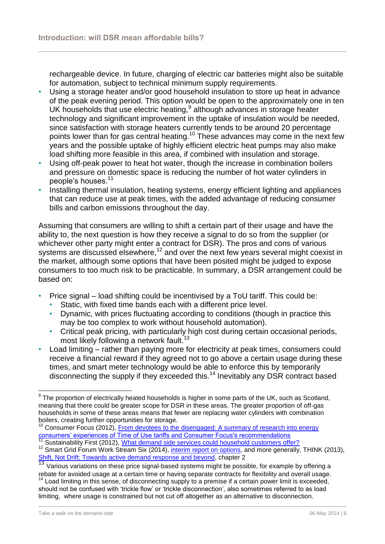rechargeable device. In future, charging of electric car batteries might also be suitable for automation, subject to technical minimum supply requirements.

- Using a storage heater and/or good household insulation to store up heat in advance of the peak evening period. This option would be open to the approximately one in ten UK households that use electric heating, $9$  although advances in storage heater technology and significant improvement in the uptake of insulation would be needed, since satisfaction with storage heaters currently tends to be around 20 percentage points lower than for gas central heating.<sup>10</sup> These advances may come in the next few years and the possible uptake of highly efficient electric heat pumps may also make load shifting more feasible in this area, if combined with insulation and storage.
- Using off-peak power to heat hot water, though the increase in combination boilers and pressure on domestic space is reducing the number of hot water cylinders in people's houses.<sup>11</sup>
- Installing thermal insulation, heating systems, energy efficient lighting and appliances that can reduce use at peak times, with the added advantage of reducing consumer bills and carbon emissions throughout the day.

Assuming that consumers are willing to shift a certain part of their usage and have the ability to, the next question is how they receive a signal to do so from the supplier (or whichever other party might enter a contract for DSR). The pros and cons of various systems are discussed elsewhere,<sup>12</sup> and over the next few years several might coexist in the market, although some options that have been posited might be judged to expose consumers to too much risk to be practicable. In summary, a DSR arrangement could be based on:

- Price signal load shifting could be incentivised by a ToU tariff. This could be:
	- Static, with fixed time bands each with a different price level.
	- Dynamic, with prices fluctuating according to conditions (though in practice this may be too complex to work without household automation).
	- Critical peak pricing, with particularly high cost during certain occasional periods, most likely following a network fault.<sup>13</sup>
- Load limiting rather than paying more for electricity at peak times, consumers could receive a financial reward if they agreed not to go above a certain usage during these times, and smart meter technology would be able to enforce this by temporarily disconnecting the supply if they exceeded this.<sup>14</sup> Inevitably any DSR contract based

 $\overline{a}$ 

<sup>9</sup> The proportion of electrically heated households is higher in some parts of the UK, such as Scotland, meaning that there could be greater scope for DSR in these areas. The greater proportion of off-gas households in some of these areas means that fewer are replacing water cylinders with combination boilers, creating further opportunities for storage.

<sup>&</sup>lt;sup>10</sup> Consumer Focus (2012), From devotees to the disengaged: A summary of research into energy [consumers' experiences of Time of Use tariffs and Consumer Focus's recommendations](http://www.consumerfocus.org.uk/files/2012/09/From-devotees-to-the-disengaged.pdf)

<sup>&</sup>lt;sup>11</sup> Sustainability First (2012), [What demand side services could household customers offer?](http://www.sustainabilityfirst.org.uk/docs/2012/Sustainability%20First%20-%20GB%20Electricity%20Demand%20-%20Paper%203%20-%20What%20demand%20side%20services%20could%20customers%20offer%20in%202010%20-%20Household%20demand-%20April%202012.pdf)

<sup>&</sup>lt;sup>12</sup> Smart Grid Forum Work Stream Six (2014), [interim report on options,](https://www.ofgem.gov.uk/ofgem-publications/86549/ws6reportapril2014140312.pdf) and more generally, THINK (2013), [Shift, Not Drift: Towards active demand response and beyond,](http://www.eui.eu/Projects/THINK/Documents/Thinktopic/Topic11digital.pdf) chapter 2

Various variations on these price signal-based systems might be possible, for example by offering a rebate for avoided usage at a certain time or having separate contracts for flexibility and overall usage.

 $14$  Load limiting in this sense, of disconnecting supply to a premise if a certain power limit is exceeded, should not be confused with 'trickle flow' or 'trickle disconnection', also sometimes referred to as load limiting, where usage is constrained but not cut off altogether as an alternative to disconnection.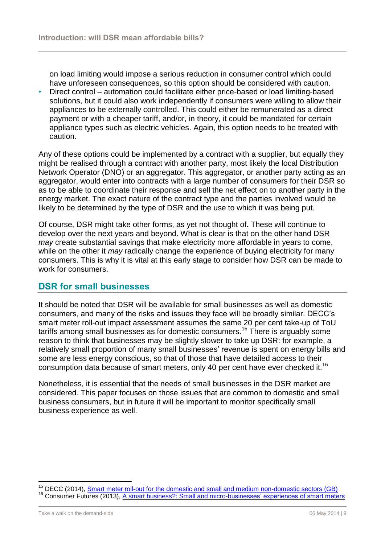on load limiting would impose a serious reduction in consumer control which could have unforeseen consequences, so this option should be considered with caution.

• Direct control – automation could facilitate either price-based or load limiting-based solutions, but it could also work independently if consumers were willing to allow their appliances to be externally controlled. This could either be remunerated as a direct payment or with a cheaper tariff, and/or, in theory, it could be mandated for certain appliance types such as electric vehicles. Again, this option needs to be treated with caution.

Any of these options could be implemented by a contract with a supplier, but equally they might be realised through a contract with another party, most likely the local Distribution Network Operator (DNO) or an aggregator. This aggregator, or another party acting as an aggregator, would enter into contracts with a large number of consumers for their DSR so as to be able to coordinate their response and sell the net effect on to another party in the energy market. The exact nature of the contract type and the parties involved would be likely to be determined by the type of DSR and the use to which it was being put.

Of course, DSR might take other forms, as yet not thought of. These will continue to develop over the next years and beyond. What is clear is that on the other hand DSR *may* create substantial savings that make electricity more affordable in years to come, while on the other it *may* radically change the experience of buying electricity for many consumers. This is why it is vital at this early stage to consider how DSR can be made to work for consumers.

## <span id="page-9-0"></span>**DSR for small businesses**

It should be noted that DSR will be available for small businesses as well as domestic consumers, and many of the risks and issues they face will be broadly similar. DECC's smart meter roll-out impact assessment assumes the same 20 per cent take-up of ToU tariffs among small businesses as for domestic consumers.<sup>15</sup> There is arguably some reason to think that businesses may be slightly slower to take up DSR: for example, a relatively small proportion of many small businesses' revenue is spent on energy bills and some are less energy conscious, so that of those that have detailed access to their consumption data because of smart meters, only 40 per cent have ever checked it.<sup>16</sup>

Nonetheless, it is essential that the needs of small businesses in the DSR market are considered. This paper focuses on those issues that are common to domestic and small business consumers, but in future it will be important to monitor specifically small business experience as well.

 $\overline{a}$ 

<sup>&</sup>lt;sup>15</sup> DECC (2014), [Smart meter roll-out for the domestic and small and medium non-domestic sectors \(GB\)](https://www.gov.uk/government/uploads/system/uploads/attachment_data/file/276656/smart_meter_roll_out_for_the_domestic_and_small_and_medium_and_non_domestic_sectors.pdf) <sup>16</sup> Consumer Futures (2013), [A smart business?: Small and micro-businesses' experiences of smart meters](http://www.consumerfutures.org.uk/files/2013/08/A-smart-business.pdf)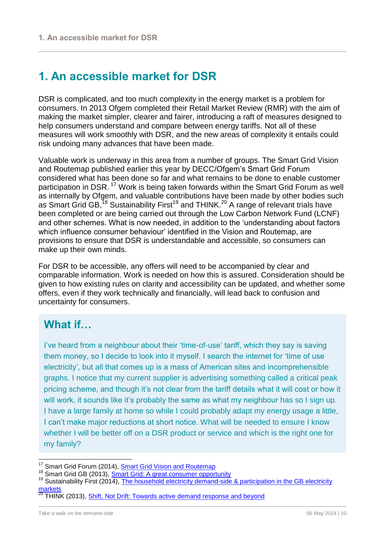# <span id="page-10-0"></span>**1. An accessible market for DSR**

DSR is complicated, and too much complexity in the energy market is a problem for consumers. In 2013 Ofgem completed their Retail Market Review (RMR) with the aim of making the market simpler, clearer and fairer, introducing a raft of measures designed to help consumers understand and compare between energy tariffs. Not all of these measures will work smoothly with DSR, and the new areas of complexity it entails could risk undoing many advances that have been made.

Valuable work is underway in this area from a number of groups. The Smart Grid Vision and Routemap published earlier this year by DECC/Ofgem's Smart Grid Forum considered what has been done so far and what remains to be done to enable customer participation in DSR.<sup>17</sup> Work is being taken forwards within the Smart Grid Forum as well as internally by Ofgem, and valuable contributions have been made by other bodies such as Smart Grid GB,<sup>18</sup> Sustainability First<sup>19</sup> and THINK.<sup>20</sup> A range of relevant trials have been completed or are being carried out through the Low Carbon Network Fund (LCNF) and other schemes. What is now needed, in addition to the 'understanding about factors which influence consumer behaviour' identified in the Vision and Routemap, are provisions to ensure that DSR is understandable and accessible, so consumers can make up their own minds.

For DSR to be accessible, any offers will need to be accompanied by clear and comparable information. Work is needed on how this is assured. Consideration should be given to how existing rules on clarity and accessibility can be updated, and whether some offers, even if they work technically and financially, will lead back to confusion and uncertainty for consumers.

## **What if…**

I've heard from a neighbour about their 'time-of-use' tariff, which they say is saving them money, so I decide to look into it myself. I search the internet for 'time of use electricity', but all that comes up is a mass of American sites and incomprehensible graphs. I notice that my current supplier is advertising something called a critical peak pricing scheme, and though it's not clear from the tariff details what it will cost or how it will work, it sounds like it's probably the same as what my neighbour has so I sign up. I have a large family at home so while I could probably adapt my energy usage a little, I can't make major reductions at short notice. What will be needed to ensure I know whether I will be better off on a DSR product or service and which is the right one for my family?

<sup>18</sup> Smart Grid GB (2013),  $\frac{\text{Symart Grid: A great consumer opportunity}}{19 \text{ Sustainability First (2014).}$  The household electricity demand-side

Smart Grid Forum (2014), [Smart Grid Vision and Routemap](https://www.gov.uk/government/uploads/system/uploads/attachment_data/file/285417/Smart_Grid_Vision_and_RoutemapFINAL.pdf)

Sustainability First (2014), The household electricity demand-side & participation in the GB electricity **[markets](http://www.sustainabilityfirst.org.uk/docs/2014/Sustainability%20First%20-%20Paper%2012%20-%20Household%20Electricity%20Demand-Side%20%20Participation%20in%20the%20GB%20Electricity%20Markets%20-%2031%20July%202014%20-%20FINAL.pdf)** 

**THINK (2013), [Shift, Not Drift: Towards active demand response and beyond](http://www.eui.eu/Projects/THINK/Documents/Thinktopic/Topic11digital.pdf)**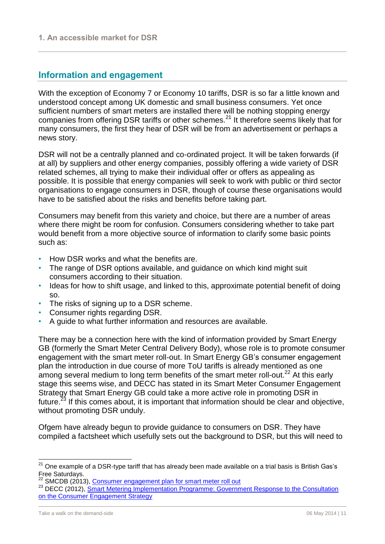## <span id="page-11-0"></span>**Information and engagement**

With the exception of Economy 7 or Economy 10 tariffs, DSR is so far a little known and understood concept among UK domestic and small business consumers. Yet once sufficient numbers of smart meters are installed there will be nothing stopping energy companies from offering DSR tariffs or other schemes.<sup>21</sup> It therefore seems likely that for many consumers, the first they hear of DSR will be from an advertisement or perhaps a news story.

DSR will not be a centrally planned and co-ordinated project. It will be taken forwards (if at all) by suppliers and other energy companies, possibly offering a wide variety of DSR related schemes, all trying to make their individual offer or offers as appealing as possible. It is possible that energy companies will seek to work with public or third sector organisations to engage consumers in DSR, though of course these organisations would have to be satisfied about the risks and benefits before taking part.

Consumers may benefit from this variety and choice, but there are a number of areas where there might be room for confusion. Consumers considering whether to take part would benefit from a more objective source of information to clarify some basic points such as:

- How DSR works and what the benefits are.
- The range of DSR options available, and guidance on which kind might suit consumers according to their situation.
- Ideas for how to shift usage, and linked to this, approximate potential benefit of doing so.
- The risks of signing up to a DSR scheme.
- Consumer rights regarding DSR.
- A guide to what further information and resources are available.

There may be a connection here with the kind of information provided by Smart Energy GB (formerly the Smart Meter Central Delivery Body), whose role is to promote consumer engagement with the smart meter roll-out. In Smart Energy GB's consumer engagement plan the introduction in due course of more ToU tariffs is already mentioned as one among several medium to long term benefits of the smart meter roll-out.<sup>22</sup> At this early stage this seems wise, and DECC has stated in its Smart Meter Consumer Engagement Strategy that Smart Energy GB could take a more active role in promoting DSR in future.<sup>23</sup> If this comes about, it is important that information should be clear and objective, without promoting DSR unduly.

Ofgem have already begun to provide guidance to consumers on DSR. They have compiled a factsheet which usefully sets out the background to DSR, but this will need to

 $^{21}$  One example of a DSR-type tariff that has already been made available on a trial basis is British Gas's Free Saturdays.

<sup>&</sup>lt;sup>22</sup> SMCDB (2013), [Consumer engagement plan for smart meter roll out](http://www.smart-meter.org.uk/wp-content/uploads/2013/12/FINAL-PLAN.-06.12.132.pdf)

<sup>&</sup>lt;sup>23</sup> DECC (2012), Smart Metering Implementation Programme: Government Response to the Consultation [on the Consumer Engagement Strategy](https://www.gov.uk/government/uploads/system/uploads/attachment_data/file/43042/7224-gov-resp-sm-consumer-engagement.pdf)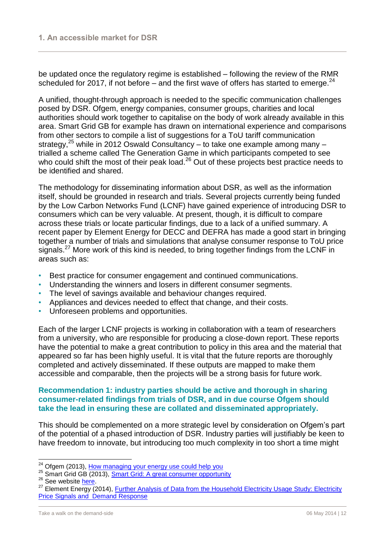be updated once the regulatory regime is established – following the review of the RMR scheduled for 2017, if not before – and the first wave of offers has started to emerge.  $24$ 

A unified, thought-through approach is needed to the specific communication challenges posed by DSR. Ofgem, energy companies, consumer groups, charities and local authorities should work together to capitalise on the body of work already available in this area. Smart Grid GB for example has drawn on international experience and comparisons from other sectors to compile a list of suggestions for a ToU tariff communication strategy,<sup>25</sup> while in 2012 Oswald Consultancy – to take one example among many – trialled a scheme called The Generation Game in which participants competed to see who could shift the most of their peak load.<sup>26</sup> Out of these projects best practice needs to be identified and shared.

The methodology for disseminating information about DSR, as well as the information itself, should be grounded in research and trials. Several projects currently being funded by the Low Carbon Networks Fund (LCNF) have gained experience of introducing DSR to consumers which can be very valuable. At present, though, it is difficult to compare across these trials or locate particular findings, due to a lack of a unified summary. A recent paper by Element Energy for DECC and DEFRA has made a good start in bringing together a number of trials and simulations that analyse consumer response to ToU price signals.<sup>27</sup> More work of this kind is needed, to bring together findings from the LCNF in areas such as:

- Best practice for consumer engagement and continued communications.
- Understanding the winners and losers in different consumer segments.
- The level of savings available and behaviour changes required.
- Appliances and devices needed to effect that change, and their costs.
- Unforeseen problems and opportunities.

Each of the larger LCNF projects is working in collaboration with a team of researchers from a university, who are responsible for producing a close-down report. These reports have the potential to make a great contribution to policy in this area and the material that appeared so far has been highly useful. It is vital that the future reports are thoroughly completed and actively disseminated. If these outputs are mapped to make them accessible and comparable, then the projects will be a strong basis for future work.

#### **Recommendation 1: industry parties should be active and thorough in sharing consumer-related findings from trials of DSR, and in due course Ofgem should take the lead in ensuring these are collated and disseminated appropriately.**

This should be complemented on a more strategic level by consideration on Ofgem's part of the potential of a phased introduction of DSR. Industry parties will justifiably be keen to have freedom to innovate, but introducing too much complexity in too short a time might

<sup>&</sup>lt;sup>24</sup> Ofgem (2013), [How managing your energy use could help you](https://www.ofgem.gov.uk/ofgem-publications/63998/20130430how-managing-your-energy-use-could-help-you.pdf)

<sup>&</sup>lt;sup>25</sup> Smart Grid GB (2013), <u>Smart Grid: A great consumer opportunity</u>

 $26$  See website [here.](http://oswaldconsultancy.wordpress.com/2012/08/21/the-generation-game-be-part-of-the-future/)

<sup>&</sup>lt;sup>27</sup> Element Energy (2014), **Further Analysis of Data from the Household Electricity Usage Study: Electricity** [Price Signals and Demand Response](http://www.element-energy.co.uk/wordpress/wp-content/uploads/2014/07/HEUS_Electricity_Price_Signals_and_Demand_Response_Final_Report_04_04_14.pdf)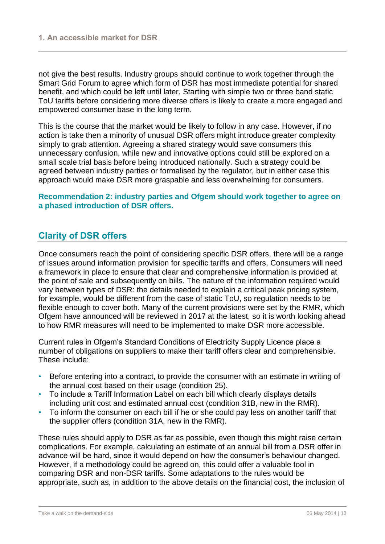not give the best results. Industry groups should continue to work together through the Smart Grid Forum to agree which form of DSR has most immediate potential for shared benefit, and which could be left until later. Starting with simple two or three band static ToU tariffs before considering more diverse offers is likely to create a more engaged and empowered consumer base in the long term.

This is the course that the market would be likely to follow in any case. However, if no action is take then a minority of unusual DSR offers might introduce greater complexity simply to grab attention. Agreeing a shared strategy would save consumers this unnecessary confusion, while new and innovative options could still be explored on a small scale trial basis before being introduced nationally. Such a strategy could be agreed between industry parties or formalised by the regulator, but in either case this approach would make DSR more graspable and less overwhelming for consumers.

#### **Recommendation 2: industry parties and Ofgem should work together to agree on a phased introduction of DSR offers.**

## <span id="page-13-0"></span>**Clarity of DSR offers**

Once consumers reach the point of considering specific DSR offers, there will be a range of issues around information provision for specific tariffs and offers. Consumers will need a framework in place to ensure that clear and comprehensive information is provided at the point of sale and subsequently on bills. The nature of the information required would vary between types of DSR: the details needed to explain a critical peak pricing system, for example, would be different from the case of static ToU, so regulation needs to be flexible enough to cover both. Many of the current provisions were set by the RMR, which Ofgem have announced will be reviewed in 2017 at the latest, so it is worth looking ahead to how RMR measures will need to be implemented to make DSR more accessible.

Current rules in Ofgem's Standard Conditions of Electricity Supply Licence place a number of obligations on suppliers to make their tariff offers clear and comprehensible. These include:

- Before entering into a contract, to provide the consumer with an estimate in writing of the annual cost based on their usage (condition 25).
- To include a Tariff Information Label on each bill which clearly displays details including unit cost and estimated annual cost (condition 31B, new in the RMR).
- To inform the consumer on each bill if he or she could pay less on another tariff that the supplier offers (condition 31A, new in the RMR).

These rules should apply to DSR as far as possible, even though this might raise certain complications. For example, calculating an estimate of an annual bill from a DSR offer in advance will be hard, since it would depend on how the consumer's behaviour changed. However, if a methodology could be agreed on, this could offer a valuable tool in comparing DSR and non-DSR tariffs. Some adaptations to the rules would be appropriate, such as, in addition to the above details on the financial cost, the inclusion of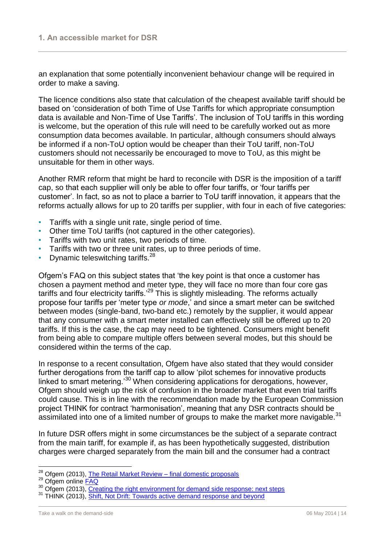an explanation that some potentially inconvenient behaviour change will be required in order to make a saving.

The licence conditions also state that calculation of the cheapest available tariff should be based on 'consideration of both Time of Use Tariffs for which appropriate consumption data is available and Non-Time of Use Tariffs'. The inclusion of ToU tariffs in this wording is welcome, but the operation of this rule will need to be carefully worked out as more consumption data becomes available. In particular, although consumers should always be informed if a non-ToU option would be cheaper than their ToU tariff, non-ToU customers should not necessarily be encouraged to move to ToU, as this might be unsuitable for them in other ways.

Another RMR reform that might be hard to reconcile with DSR is the imposition of a tariff cap, so that each supplier will only be able to offer four tariffs, or 'four tariffs per customer'. In fact, so as not to place a barrier to ToU tariff innovation, it appears that the reforms actually allows for up to 20 tariffs per supplier, with four in each of five categories:

- Tariffs with a single unit rate, single period of time.
- Other time ToU tariffs (not captured in the other categories).
- Tariffs with two unit rates, two periods of time.
- Tariffs with two or three unit rates, up to three periods of time.
- Dynamic teleswitching tariffs. $28$

Ofgem's FAQ on this subject states that 'the key point is that once a customer has chosen a payment method and meter type, they will face no more than four core gas tariffs and four electricity tariffs.<sup>29</sup> This is slightly misleading. The reforms actually propose four tariffs per 'meter type *or mode*,' and since a smart meter can be switched between modes (single-band, two-band etc.) remotely by the supplier, it would appear that any consumer with a smart meter installed can effectively still be offered up to 20 tariffs. If this is the case, the cap may need to be tightened. Consumers might benefit from being able to compare multiple offers between several modes, but this should be considered within the terms of the cap.

In response to a recent consultation, Ofgem have also stated that they would consider further derogations from the tariff cap to allow 'pilot schemes for innovative products linked to smart metering.'<sup>30</sup> When considering applications for derogations, however, Ofgem should weigh up the risk of confusion in the broader market that even trial tariffs could cause. This is in line with the recommendation made by the European Commission project THINK for contract 'harmonisation', meaning that any DSR contracts should be assimilated into one of a limited number of groups to make the market more navigable.<sup>31</sup>

In future DSR offers might in some circumstances be the subject of a separate contract from the main tariff, for example if, as has been hypothetically suggested, distribution charges were charged separately from the main bill and the consumer had a contract

<sup>&</sup>lt;sup>28</sup> Ofgem (2013), [The Retail Market Review –](https://www.ofgem.gov.uk/ofgem-publications/39350/retail-market-review-final-domestic-proposals.pdf) final domestic proposals

<sup>&</sup>lt;sup>29</sup> Ofgem online **FAQ** 

<sup>&</sup>lt;sup>30</sup> Ofgem (2013), [Creating the right environment for demand side response: next steps](https://www.ofgem.gov.uk/ofgem-publications/85129/creatingtherightenvironmentfordemandsideresponsenextsteps.pdf)

<sup>&</sup>lt;sup>31</sup> THINK (2013), [Shift, Not Drift: Towards active demand response and beyond](http://www.eui.eu/Projects/THINK/Documents/Thinktopic/Topic11digital.pdf)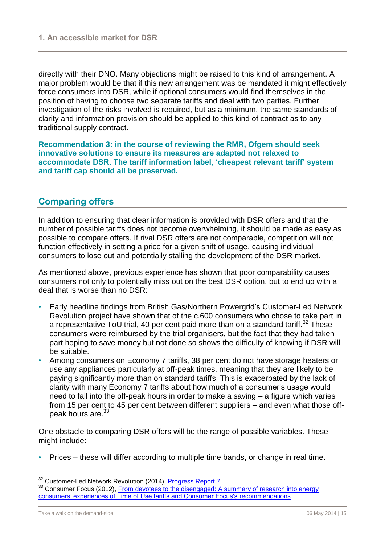directly with their DNO. Many objections might be raised to this kind of arrangement. A major problem would be that if this new arrangement was be mandated it might effectively force consumers into DSR, while if optional consumers would find themselves in the position of having to choose two separate tariffs and deal with two parties. Further investigation of the risks involved is required, but as a minimum, the same standards of clarity and information provision should be applied to this kind of contract as to any traditional supply contract.

**Recommendation 3: in the course of reviewing the RMR, Ofgem should seek innovative solutions to ensure its measures are adapted not relaxed to accommodate DSR. The tariff information label, 'cheapest relevant tariff' system and tariff cap should all be preserved.**

## <span id="page-15-0"></span>**Comparing offers**

In addition to ensuring that clear information is provided with DSR offers and that the number of possible tariffs does not become overwhelming, it should be made as easy as possible to compare offers. If rival DSR offers are not comparable, competition will not function effectively in setting a price for a given shift of usage, causing individual consumers to lose out and potentially stalling the development of the DSR market.

As mentioned above, previous experience has shown that poor comparability causes consumers not only to potentially miss out on the best DSR option, but to end up with a deal that is worse than no DSR:

- Early headline findings from British Gas/Northern Powergrid's Customer-Led Network Revolution project have shown that of the c.600 consumers who chose to take part in a representative ToU trial, 40 per cent paid more than on a standard tariff.<sup>32</sup> These consumers were reimbursed by the trial organisers, but the fact that they had taken part hoping to save money but not done so shows the difficulty of knowing if DSR will be suitable.
- Among consumers on Economy 7 tariffs, 38 per cent do not have storage heaters or use any appliances particularly at off-peak times, meaning that they are likely to be paying significantly more than on standard tariffs. This is exacerbated by the lack of clarity with many Economy 7 tariffs about how much of a consumer's usage would need to fall into the off-peak hours in order to make a saving – a figure which varies from 15 per cent to 45 per cent between different suppliers – and even what those offpeak hours are.<sup>33</sup>

One obstacle to comparing DSR offers will be the range of possible variables. These might include:

• Prices – these will differ according to multiple time bands, or change in real time.

<sup>&</sup>lt;sup>32</sup> Customer-Led Network Revolution (2014), [Progress Report 7](http://www.networkrevolution.co.uk/wp-content/uploads/2014/07/CLNR-Progress-Report-7-New-links-.pdf)

<sup>&</sup>lt;sup>33</sup> Consumer Focus (2012), From devotees to the disengaged: A summary of research into energy [consumers' experiences of Time of Use tariffs and Consumer Focus's recommendations](http://www.consumerfocus.org.uk/files/2012/09/From-devotees-to-the-disengaged.pdf)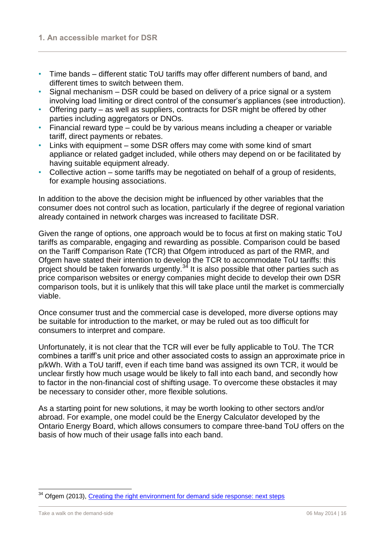- Time bands different static ToU tariffs may offer different numbers of band, and different times to switch between them.
- Signal mechanism DSR could be based on delivery of a price signal or a system involving load limiting or direct control of the consumer's appliances (see introduction).
- Offering party as well as suppliers, contracts for DSR might be offered by other parties including aggregators or DNOs.
- Financial reward type could be by various means including a cheaper or variable tariff, direct payments or rebates.
- Links with equipment some DSR offers may come with some kind of smart appliance or related gadget included, while others may depend on or be facilitated by having suitable equipment already.
- Collective action some tariffs may be negotiated on behalf of a group of residents, for example housing associations.

In addition to the above the decision might be influenced by other variables that the consumer does not control such as location, particularly if the degree of regional variation already contained in network charges was increased to facilitate DSR.

Given the range of options, one approach would be to focus at first on making static ToU tariffs as comparable, engaging and rewarding as possible. Comparison could be based on the Tariff Comparison Rate (TCR) that Ofgem introduced as part of the RMR, and Ofgem have stated their intention to develop the TCR to accommodate ToU tariffs: this project should be taken forwards urgently.<sup>34</sup> It is also possible that other parties such as price comparison websites or energy companies might decide to develop their own DSR comparison tools, but it is unlikely that this will take place until the market is commercially viable.

Once consumer trust and the commercial case is developed, more diverse options may be suitable for introduction to the market, or may be ruled out as too difficult for consumers to interpret and compare.

Unfortunately, it is not clear that the TCR will ever be fully applicable to ToU. The TCR combines a tariff's unit price and other associated costs to assign an approximate price in p/kWh. With a ToU tariff, even if each time band was assigned its own TCR, it would be unclear firstly how much usage would be likely to fall into each band, and secondly how to factor in the non-financial cost of shifting usage. To overcome these obstacles it may be necessary to consider other, more flexible solutions.

As a starting point for new solutions, it may be worth looking to other sectors and/or abroad. For example, one model could be the Energy Calculator developed by the Ontario Energy Board, which allows consumers to compare three-band ToU offers on the basis of how much of their usage falls into each band.

<sup>&</sup>lt;sup>34</sup> Ofgem (2013), [Creating the right environment for demand side response: next steps](https://www.ofgem.gov.uk/ofgem-publications/85129/creatingtherightenvironmentfordemandsideresponsenextsteps.pdf)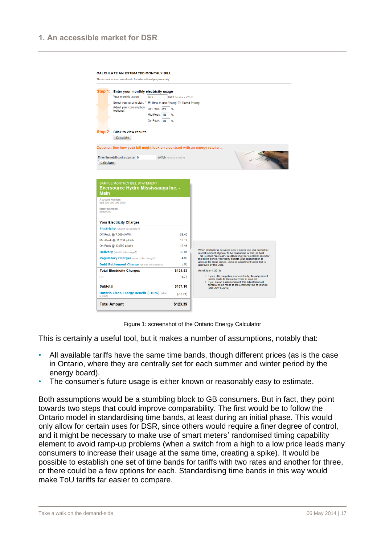

Figure 1: screenshot of the Ontario Energy Calculator

This is certainly a useful tool, but it makes a number of assumptions, notably that:

- All available tariffs have the same time bands, though different prices (as is the case in Ontario, where they are centrally set for each summer and winter period by the energy board).
- The consumer's future usage is either known or reasonably easy to estimate.

Both assumptions would be a stumbling block to GB consumers. But in fact, they point towards two steps that could improve comparability. The first would be to follow the Ontario model in standardising time bands, at least during an initial phase. This would only allow for certain uses for DSR, since others would require a finer degree of control, and it might be necessary to make use of smart meters' randomised timing capability element to avoid ramp-up problems (when a switch from a high to a low price leads many consumers to increase their usage at the same time, creating a spike). It would be possible to establish one set of time bands for tariffs with two rates and another for three, or there could be a few options for each. Standardising time bands in this way would make ToU tariffs far easier to compare.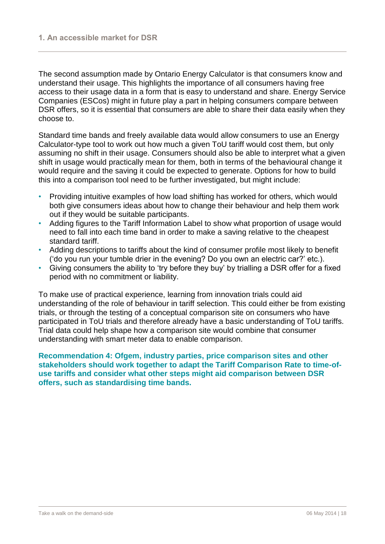The second assumption made by Ontario Energy Calculator is that consumers know and understand their usage. This highlights the importance of all consumers having free access to their usage data in a form that is easy to understand and share. Energy Service Companies (ESCos) might in future play a part in helping consumers compare between DSR offers, so it is essential that consumers are able to share their data easily when they choose to.

Standard time bands and freely available data would allow consumers to use an Energy Calculator-type tool to work out how much a given ToU tariff would cost them, but only assuming no shift in their usage. Consumers should also be able to interpret what a given shift in usage would practically mean for them, both in terms of the behavioural change it would require and the saving it could be expected to generate. Options for how to build this into a comparison tool need to be further investigated, but might include:

- Providing intuitive examples of how load shifting has worked for others, which would both give consumers ideas about how to change their behaviour and help them work out if they would be suitable participants.
- Adding figures to the Tariff Information Label to show what proportion of usage would need to fall into each time band in order to make a saving relative to the cheapest standard tariff.
- Adding descriptions to tariffs about the kind of consumer profile most likely to benefit ('do you run your tumble drier in the evening? Do you own an electric car?' etc.).
- Giving consumers the ability to 'try before they buy' by trialling a DSR offer for a fixed period with no commitment or liability.

To make use of practical experience, learning from innovation trials could aid understanding of the role of behaviour in tariff selection. This could either be from existing trials, or through the testing of a conceptual comparison site on consumers who have participated in ToU trials and therefore already have a basic understanding of ToU tariffs. Trial data could help shape how a comparison site would combine that consumer understanding with smart meter data to enable comparison.

**Recommendation 4: Ofgem, industry parties, price comparison sites and other stakeholders should work together to adapt the Tariff Comparison Rate to time-ofuse tariffs and consider what other steps might aid comparison between DSR offers, such as standardising time bands.**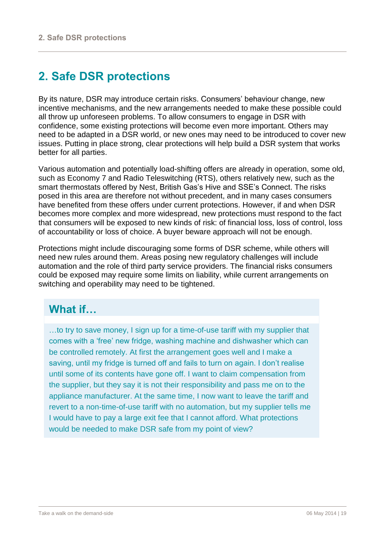# <span id="page-19-0"></span>**2. Safe DSR protections**

By its nature, DSR may introduce certain risks. Consumers' behaviour change, new incentive mechanisms, and the new arrangements needed to make these possible could all throw up unforeseen problems. To allow consumers to engage in DSR with confidence, some existing protections will become even more important. Others may need to be adapted in a DSR world, or new ones may need to be introduced to cover new issues. Putting in place strong, clear protections will help build a DSR system that works better for all parties.

Various automation and potentially load-shifting offers are already in operation, some old, such as Economy 7 and Radio Teleswitching (RTS), others relatively new, such as the smart thermostats offered by Nest, British Gas's Hive and SSE's Connect. The risks posed in this area are therefore not without precedent, and in many cases consumers have benefited from these offers under current protections. However, if and when DSR becomes more complex and more widespread, new protections must respond to the fact that consumers will be exposed to new kinds of risk: of financial loss, loss of control, loss of accountability or loss of choice. A buyer beware approach will not be enough.

Protections might include discouraging some forms of DSR scheme, while others will need new rules around them. Areas posing new regulatory challenges will include automation and the role of third party service providers. The financial risks consumers could be exposed may require some limits on liability, while current arrangements on switching and operability may need to be tightened.

# **What if…**

…to try to save money, I sign up for a time-of-use tariff with my supplier that comes with a 'free' new fridge, washing machine and dishwasher which can be controlled remotely. At first the arrangement goes well and I make a saving, until my fridge is turned off and fails to turn on again. I don't realise until some of its contents have gone off. I want to claim compensation from the supplier, but they say it is not their responsibility and pass me on to the appliance manufacturer. At the same time, I now want to leave the tariff and revert to a non-time-of-use tariff with no automation, but my supplier tells me I would have to pay a large exit fee that I cannot afford. What protections would be needed to make DSR safe from my point of view?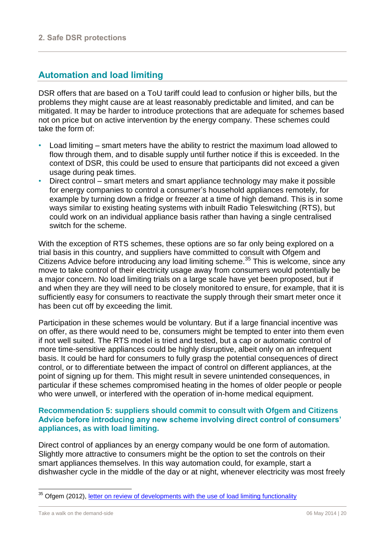## <span id="page-20-0"></span>**Automation and load limiting**

DSR offers that are based on a ToU tariff could lead to confusion or higher bills, but the problems they might cause are at least reasonably predictable and limited, and can be mitigated. It may be harder to introduce protections that are adequate for schemes based not on price but on active intervention by the energy company. These schemes could take the form of:

- Load limiting smart meters have the ability to restrict the maximum load allowed to flow through them, and to disable supply until further notice if this is exceeded. In the context of DSR, this could be used to ensure that participants did not exceed a given usage during peak times.
- Direct control smart meters and smart appliance technology may make it possible for energy companies to control a consumer's household appliances remotely, for example by turning down a fridge or freezer at a time of high demand. This is in some ways similar to existing heating systems with inbuilt Radio Teleswitching (RTS), but could work on an individual appliance basis rather than having a single centralised switch for the scheme.

With the exception of RTS schemes, these options are so far only being explored on a trial basis in this country, and suppliers have committed to consult with Ofgem and Citizens Advice before introducing any load limiting scheme.<sup>35</sup> This is welcome, since any move to take control of their electricity usage away from consumers would potentially be a major concern. No load limiting trials on a large scale have yet been proposed, but if and when they are they will need to be closely monitored to ensure, for example, that it is sufficiently easy for consumers to reactivate the supply through their smart meter once it has been cut off by exceeding the limit.

Participation in these schemes would be voluntary. But if a large financial incentive was on offer, as there would need to be, consumers might be tempted to enter into them even if not well suited. The RTS model is tried and tested, but a cap or automatic control of more time-sensitive appliances could be highly disruptive, albeit only on an infrequent basis. It could be hard for consumers to fully grasp the potential consequences of direct control, or to differentiate between the impact of control on different appliances, at the point of signing up for them. This might result in severe unintended consequences, in particular if these schemes compromised heating in the homes of older people or people who were unwell, or interfered with the operation of in-home medical equipment.

#### **Recommendation 5: suppliers should commit to consult with Ofgem and Citizens Advice before introducing any new scheme involving direct control of consumers' appliances, as with load limiting.**

Direct control of appliances by an energy company would be one form of automation. Slightly more attractive to consumers might be the option to set the controls on their smart appliances themselves. In this way automation could, for example, start a dishwasher cycle in the middle of the day or at night, whenever electricity was most freely

<sup>&</sup>lt;sup>35</sup> Ofgem (2012), [letter on review of developments with the use of load limiting functionality](https://www.ofgem.gov.uk/ofgem-publications/57325/ofgem-statement-17122012.pdf)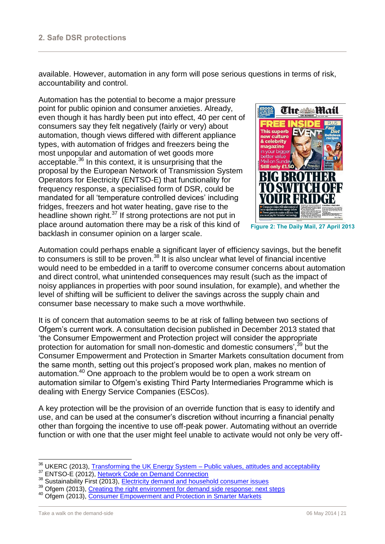available. However, automation in any form will pose serious questions in terms of risk, accountability and control.

Automation has the potential to become a major pressure point for public opinion and consumer anxieties. Already, even though it has hardly been put into effect, 40 per cent of consumers say they felt negatively (fairly or very) about automation, though views differed with different appliance types, with automation of fridges and freezers being the most unpopular and automation of wet goods more acceptable. <sup>36</sup> In this context, it is unsurprising that the proposal by the European Network of Transmission System Operators for Electricity (ENTSO-E) that functionality for frequency response, a specialised form of DSR, could be mandated for all 'temperature controlled devices' including fridges, freezers and hot water heating, gave rise to the headline shown right.<sup>37</sup> If strong protections are not put in place around automation there may be a risk of this kind of backlash in consumer opinion on a larger scale.



**Figure 2: The Daily Mail, 27 April 2013**

Automation could perhaps enable a significant layer of efficiency savings, but the benefit to consumers is still to be proven.<sup>38</sup> It is also unclear what level of financial incentive would need to be embedded in a tariff to overcome consumer concerns about automation and direct control, what unintended consequences may result (such as the impact of noisy appliances in properties with poor sound insulation, for example), and whether the level of shifting will be sufficient to deliver the savings across the supply chain and consumer base necessary to make such a move worthwhile.

It is of concern that automation seems to be at risk of falling between two sections of Ofgem's current work. A consultation decision published in December 2013 stated that 'the Consumer Empowerment and Protection project will consider the appropriate protection for automation for small non-domestic and domestic consumers',<sup>39</sup> but the Consumer Empowerment and Protection in Smarter Markets consultation document from the same month, setting out this project's proposed work plan, makes no mention of automation.<sup>40</sup> One approach to the problem would be to open a work stream on automation similar to Ofgem's existing Third Party Intermediaries Programme which is dealing with Energy Service Companies (ESCos).

A key protection will be the provision of an override function that is easy to identify and use, and can be used at the consumer's discretion without incurring a financial penalty other than forgoing the incentive to use off-peak power. Automating without an override function or with one that the user might feel unable to activate would not only be very off-

 $\overline{a}$ 

<sup>&</sup>lt;sup>36</sup> UKERC (2013), Transforming the UK Energy System – [Public values, attitudes and acceptability](http://www.ukerc.ac.uk/support/Transforming+the+UK+Energy+System)

<sup>&</sup>lt;sup>37</sup> ENTSO-E (2012), [Network Code on Demand Connection](https://www.entsoe.eu/fileadmin/user_upload/_library/resources/DCC/ENTSO-E_finalises_DCC/121221_final_Network_Code_on_Demand_Connection.pdf)

<sup>38</sup> Sustainability First (2013), [Electricity demand and household consumer issues](http://www.sustainabilityfirst.org.uk/docs/2013/Sustainability%20First%20-%20Paper%208%20-%20Electricity%20demand%20and%20household%20consumer%20issues%20-%20July%202013.pdf)

<sup>&</sup>lt;sup>39</sup> Ofgem (2013), [Creating the right environment for demand side response: next steps](https://www.ofgem.gov.uk/ofgem-publications/85129/creatingtherightenvironmentfordemandsideresponsenextsteps.pdf)

<sup>40</sup> Ofgem (2013), [Consumer Empowerment and Protection in Smarter Markets](https://www.ofgem.gov.uk/ofgem-publications/85157/consumerempowermentandprotectioninsmartermarkets.pdf)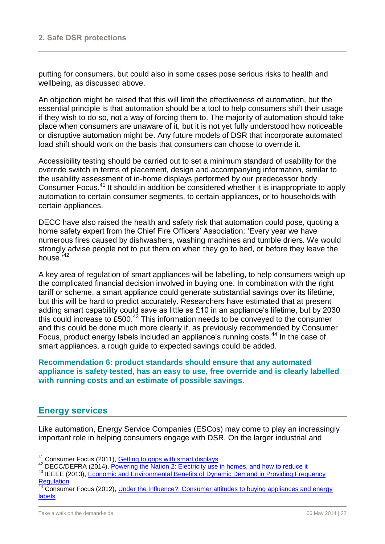putting for consumers, but could also in some cases pose serious risks to health and wellbeing, as discussed above.

An objection might be raised that this will limit the effectiveness of automation, but the essential principle is that automation should be a tool to help consumers shift their usage if they wish to do so, not a way of forcing them to. The majority of automation should take place when consumers are unaware of it, but it is not yet fully understood how noticeable or disruptive automation might be. Any future models of DSR that incorporate automated load shift should work on the basis that consumers can choose to override it.

Accessibility testing should be carried out to set a minimum standard of usability for the override switch in terms of placement, design and accompanying information, similar to the usability assessment of in-home displays performed by our predecessor body Consumer Focus.<sup>41</sup> It should in addition be considered whether it is inappropriate to apply automation to certain consumer segments, to certain appliances, or to households with certain appliances.

DECC have also raised the health and safety risk that automation could pose, quoting a home safety expert from the Chief Fire Officers' Association: 'Every year we have numerous fires caused by dishwashers, washing machines and tumble driers. We would strongly advise people not to put them on when they go to bed, or before they leave the house.'<sup>42</sup>

A key area of regulation of smart appliances will be labelling, to help consumers weigh up the complicated financial decision involved in buying one. In combination with the right tariff or scheme, a smart appliance could generate substantial savings over its lifetime, but this will be hard to predict accurately. Researchers have estimated that at present adding smart capability could save as little as £10 in an appliance's lifetime, but by 2030 this could increase to £500.<sup>43</sup> This information needs to be conveyed to the consumer and this could be done much more clearly if, as previously recommended by Consumer Focus, product energy labels included an appliance's running costs.<sup>44</sup> In the case of smart appliances, a rough guide to expected savings could be added.

**Recommendation 6: product standards should ensure that any automated appliance is safety tested, has an easy to use, free override and is clearly labelled with running costs and an estimate of possible savings.**

#### <span id="page-22-0"></span>**Energy services**

l

Like automation, Energy Service Companies (ESCos) may come to play an increasingly important role in helping consumers engage with DSR. On the larger industrial and

<sup>43</sup> IEEEE (2013), **Economic and Environmental Benefits of Dynamic Demand in Providing Frequency [Regulation](http://ieeexplore.ieee.org/xpl/articleDetails.jsp?arnumber=6578160)** 

<sup>&</sup>lt;sup>41</sup> Consumer Focus (2011), Getting to grips with smart displays

<sup>42</sup> DECC/DEFRA (2014), [Powering the Nation 2: Electricity use in homes, and how to reduce it](https://www.gov.uk/government/uploads/system/uploads/attachment_data/file/325741/Powering_the_Nation_2_260614.pdf)

<sup>44</sup> Consumer Focus (2012), [Under the Influence?: Consumer attitudes to buying appliances and energy](http://www.consumerfocus.org.uk/files/2012/12/Under-the-influence.pdf)  [labels](http://www.consumerfocus.org.uk/files/2012/12/Under-the-influence.pdf)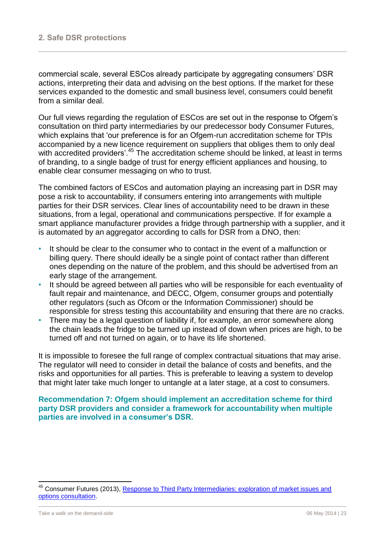commercial scale, several ESCos already participate by aggregating consumers' DSR actions, interpreting their data and advising on the best options. If the market for these services expanded to the domestic and small business level, consumers could benefit from a similar deal.

Our full views regarding the regulation of ESCos are set out in the response to Ofgem's consultation on third party intermediaries by our predecessor body Consumer Futures, which explains that 'our preference is for an Ofgem-run accreditation scheme for TPIs accompanied by a new licence requirement on suppliers that obliges them to only deal with accredited providers'.<sup>45</sup> The accreditation scheme should be linked, at least in terms of branding, to a single badge of trust for energy efficient appliances and housing, to enable clear consumer messaging on who to trust.

The combined factors of ESCos and automation playing an increasing part in DSR may pose a risk to accountability, if consumers entering into arrangements with multiple parties for their DSR services. Clear lines of accountability need to be drawn in these situations, from a legal, operational and communications perspective. If for example a smart appliance manufacturer provides a fridge through partnership with a supplier, and it is automated by an aggregator according to calls for DSR from a DNO, then:

- It should be clear to the consumer who to contact in the event of a malfunction or billing query. There should ideally be a single point of contact rather than different ones depending on the nature of the problem, and this should be advertised from an early stage of the arrangement.
- It should be agreed between all parties who will be responsible for each eventuality of fault repair and maintenance, and DECC, Ofgem, consumer groups and potentially other regulators (such as Ofcom or the Information Commissioner) should be responsible for stress testing this accountability and ensuring that there are no cracks.
- There may be a legal question of liability if, for example, an error somewhere along the chain leads the fridge to be turned up instead of down when prices are high, to be turned off and not turned on again, or to have its life shortened.

It is impossible to foresee the full range of complex contractual situations that may arise. The regulator will need to consider in detail the balance of costs and benefits, and the risks and opportunities for all parties. This is preferable to leaving a system to develop that might later take much longer to untangle at a later stage, at a cost to consumers.

#### **Recommendation 7: Ofgem should implement an accreditation scheme for third party DSR providers and consider a framework for accountability when multiple parties are involved in a consumer's DSR.**

 $\overline{a}$ 

<sup>&</sup>lt;sup>45</sup> Consumer Futures (2013), Response to Third Party Intermediaries: exploration of market issues and [options consultation.](https://www.ofgem.gov.uk/ofgem-publications/83746/consumerfutures.pdf)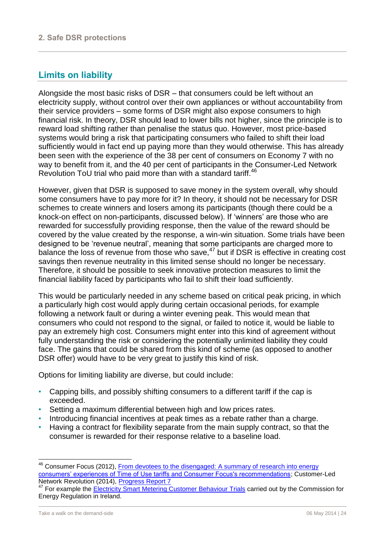## <span id="page-24-0"></span>**Limits on liability**

Alongside the most basic risks of DSR – that consumers could be left without an electricity supply, without control over their own appliances or without accountability from their service providers – some forms of DSR might also expose consumers to high financial risk. In theory, DSR should lead to lower bills not higher, since the principle is to reward load shifting rather than penalise the status quo. However, most price-based systems would bring a risk that participating consumers who failed to shift their load sufficiently would in fact end up paying more than they would otherwise. This has already been seen with the experience of the 38 per cent of consumers on Economy 7 with no way to benefit from it, and the 40 per cent of participants in the Consumer-Led Network Revolution ToU trial who paid more than with a standard tariff.<sup>46</sup>

However, given that DSR is supposed to save money in the system overall, why should some consumers have to pay more for it? In theory, it should not be necessary for DSR schemes to create winners and losers among its participants (though there could be a knock-on effect on non-participants, discussed below). If 'winners' are those who are rewarded for successfully providing response, then the value of the reward should be covered by the value created by the response, a win-win situation. Some trials have been designed to be 'revenue neutral', meaning that some participants are charged more to balance the loss of revenue from those who save, $47$  but if DSR is effective in creating cost savings then revenue neutrality in this limited sense should no longer be necessary. Therefore, it should be possible to seek innovative protection measures to limit the financial liability faced by participants who fail to shift their load sufficiently.

This would be particularly needed in any scheme based on critical peak pricing, in which a particularly high cost would apply during certain occasional periods, for example following a network fault or during a winter evening peak. This would mean that consumers who could not respond to the signal, or failed to notice it, would be liable to pay an extremely high cost. Consumers might enter into this kind of agreement without fully understanding the risk or considering the potentially unlimited liability they could face. The gains that could be shared from this kind of scheme (as opposed to another DSR offer) would have to be very great to justify this kind of risk.

Options for limiting liability are diverse, but could include:

- Capping bills, and possibly shifting consumers to a different tariff if the cap is exceeded.
- Setting a maximum differential between high and low prices rates.
- Introducing financial incentives at peak times as a rebate rather than a charge.
- Having a contract for flexibility separate from the main supply contract, so that the consumer is rewarded for their response relative to a baseline load.

Consumer Focus (2012), From devotees to the disengaged: A summary of research into energy [consumers' experiences of Time of Use tariffs and Consumer Focus's recommendations;](http://www.consumerfocus.org.uk/files/2012/09/From-devotees-to-the-disengaged.pdf) Customer-Led Network Revolution (2014), [Progress Report 7](http://www.networkrevolution.co.uk/wp-content/uploads/2014/07/CLNR-Progress-Report-7-New-links-.pdf)

For example the **Electricity Smart Metering Customer Behaviour Trials carried out by the Commission for** Energy Regulation in Ireland.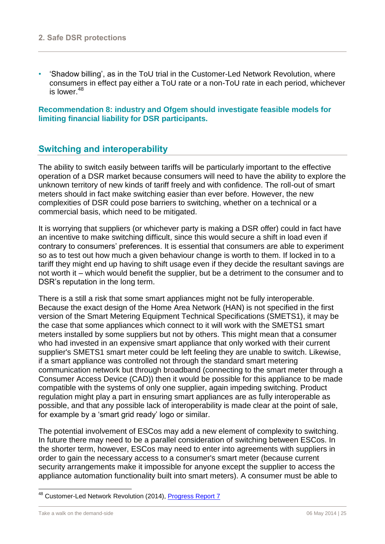• 'Shadow billing', as in the ToU trial in the Customer-Led Network Revolution, where consumers in effect pay either a ToU rate or a non-ToU rate in each period, whichever is lower.<sup>48</sup>

**Recommendation 8: industry and Ofgem should investigate feasible models for limiting financial liability for DSR participants.**

## <span id="page-25-0"></span>**Switching and interoperability**

The ability to switch easily between tariffs will be particularly important to the effective operation of a DSR market because consumers will need to have the ability to explore the unknown territory of new kinds of tariff freely and with confidence. The roll-out of smart meters should in fact make switching easier than ever before. However, the new complexities of DSR could pose barriers to switching, whether on a technical or a commercial basis, which need to be mitigated.

It is worrying that suppliers (or whichever party is making a DSR offer) could in fact have an incentive to make switching difficult, since this would secure a shift in load even if contrary to consumers' preferences. It is essential that consumers are able to experiment so as to test out how much a given behaviour change is worth to them. If locked in to a tariff they might end up having to shift usage even if they decide the resultant savings are not worth it – which would benefit the supplier, but be a detriment to the consumer and to DSR's reputation in the long term.

There is a still a risk that some smart appliances might not be fully interoperable. Because the exact design of the Home Area Network (HAN) is not specified in the first version of the Smart Metering Equipment Technical Specifications (SMETS1), it may be the case that some appliances which connect to it will work with the SMETS1 smart meters installed by some suppliers but not by others. This might mean that a consumer who had invested in an expensive smart appliance that only worked with their current supplier's SMETS1 smart meter could be left feeling they are unable to switch. Likewise, if a smart appliance was controlled not through the standard smart metering communication network but through broadband (connecting to the smart meter through a Consumer Access Device (CAD)) then it would be possible for this appliance to be made compatible with the systems of only one supplier, again impeding switching. Product regulation might play a part in ensuring smart appliances are as fully interoperable as possible, and that any possible lack of interoperability is made clear at the point of sale, for example by a 'smart grid ready' logo or similar.

The potential involvement of ESCos may add a new element of complexity to switching. In future there may need to be a parallel consideration of switching between ESCos. In the shorter term, however, ESCos may need to enter into agreements with suppliers in order to gain the necessary access to a consumer's smart meter (because current security arrangements make it impossible for anyone except the supplier to access the appliance automation functionality built into smart meters). A consumer must be able to

<sup>&</sup>lt;sup>48</sup> Customer-Led Network Revolution (2014), [Progress Report 7](http://www.networkrevolution.co.uk/wp-content/uploads/2014/07/CLNR-Progress-Report-7-New-links-.pdf)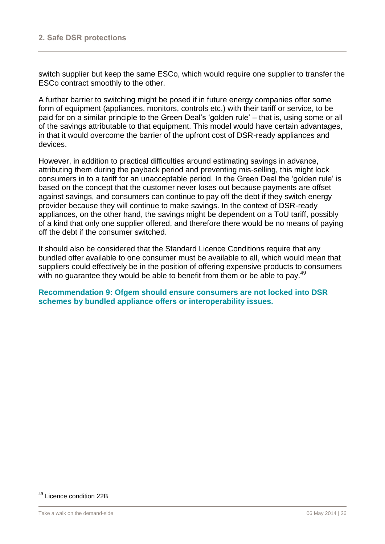switch supplier but keep the same ESCo, which would require one supplier to transfer the ESCo contract smoothly to the other.

A further barrier to switching might be posed if in future energy companies offer some form of equipment (appliances, monitors, controls etc.) with their tariff or service, to be paid for on a similar principle to the Green Deal's 'golden rule' – that is, using some or all of the savings attributable to that equipment. This model would have certain advantages, in that it would overcome the barrier of the upfront cost of DSR-ready appliances and devices.

However, in addition to practical difficulties around estimating savings in advance, attributing them during the payback period and preventing mis-selling, this might lock consumers in to a tariff for an unacceptable period. In the Green Deal the 'golden rule' is based on the concept that the customer never loses out because payments are offset against savings, and consumers can continue to pay off the debt if they switch energy provider because they will continue to make savings. In the context of DSR-ready appliances, on the other hand, the savings might be dependent on a ToU tariff, possibly of a kind that only one supplier offered, and therefore there would be no means of paying off the debt if the consumer switched.

It should also be considered that the Standard Licence Conditions require that any bundled offer available to one consumer must be available to all, which would mean that suppliers could effectively be in the position of offering expensive products to consumers with no guarantee they would be able to benefit from them or be able to pay.<sup>49</sup>

**Recommendation 9: Ofgem should ensure consumers are not locked into DSR schemes by bundled appliance offers or interoperability issues.**

<sup>49</sup> Licence condition 22B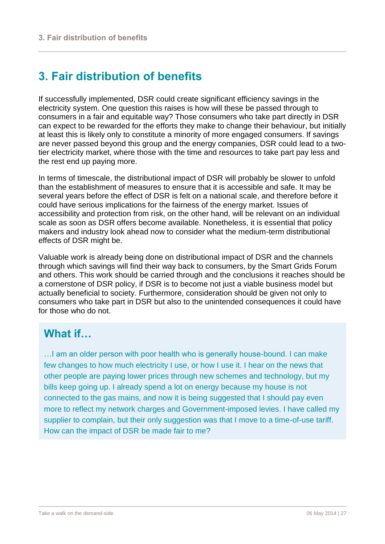# <span id="page-27-0"></span>**3. Fair distribution of benefits**

If successfully implemented, DSR could create significant efficiency savings in the electricity system. One question this raises is how will these be passed through to consumers in a fair and equitable way? Those consumers who take part directly in DSR can expect to be rewarded for the efforts they make to change their behaviour, but initially at least this is likely only to constitute a minority of more engaged consumers. If savings are never passed beyond this group and the energy companies, DSR could lead to a twotier electricity market, where those with the time and resources to take part pay less and the rest end up paying more.

In terms of timescale, the distributional impact of DSR will probably be slower to unfold than the establishment of measures to ensure that it is accessible and safe. It may be several years before the effect of DSR is felt on a national scale, and therefore before it could have serious implications for the fairness of the energy market. Issues of accessibility and protection from risk, on the other hand, will be relevant on an individual scale as soon as DSR offers become available. Nonetheless, it is essential that policy makers and industry look ahead now to consider what the medium-term distributional effects of DSR might be.

Valuable work is already being done on distributional impact of DSR and the channels through which savings will find their way back to consumers, by the Smart Grids Forum and others. This work should be carried through and the conclusions it reaches should be a cornerstone of DSR policy, if DSR is to become not just a viable business model but actually beneficial to society. Furthermore, consideration should be given not only to consumers who take part in DSR but also to the unintended consequences it could have for those who do not.

# **What if…**

…I am an older person with poor health who is generally house-bound. I can make few changes to how much electricity I use, or how I use it. I hear on the news that other people are paying lower prices through new schemes and technology, but my bills keep going up. I already spend a lot on energy because my house is not connected to the gas mains, and now it is being suggested that I should pay even more to reflect my network charges and Government-imposed levies. I have called my supplier to complain, but their only suggestion was that I move to a time-of-use tariff. How can the impact of DSR be made fair to me?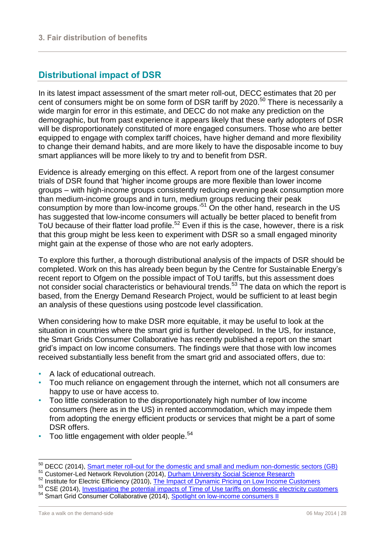## <span id="page-28-0"></span>**Distributional impact of DSR**

In its latest impact assessment of the smart meter roll-out, DECC estimates that 20 per cent of consumers might be on some form of DSR tariff by 2020.<sup>50</sup> There is necessarily a wide margin for error in this estimate, and DECC do not make any prediction on the demographic, but from past experience it appears likely that these early adopters of DSR will be disproportionately constituted of more engaged consumers. Those who are better equipped to engage with complex tariff choices, have higher demand and more flexibility to change their demand habits, and are more likely to have the disposable income to buy smart appliances will be more likely to try and to benefit from DSR.

Evidence is already emerging on this effect. A report from one of the largest consumer trials of DSR found that 'higher income groups are more flexible than lower income groups – with high-income groups consistently reducing evening peak consumption more than medium-income groups and in turn, medium groups reducing their peak consumption by more than low-income groups.<sup>'51</sup> On the other hand, research in the US has suggested that low-income consumers will actually be better placed to benefit from ToU because of their flatter load profile.<sup>52</sup> Even if this is the case, however, there is a risk that this group might be less keen to experiment with DSR so a small engaged minority might gain at the expense of those who are not early adopters.

To explore this further, a thorough distributional analysis of the impacts of DSR should be completed. Work on this has already been begun by the Centre for Sustainable Energy's recent report to Ofgem on the possible impact of ToU tariffs, but this assessment does not consider social characteristics or behavioural trends.<sup>53</sup> The data on which the report is based, from the Energy Demand Research Project, would be sufficient to at least begin an analysis of these questions using postcode level classification.

When considering how to make DSR more equitable, it may be useful to look at the situation in countries where the smart grid is further developed. In the US, for instance, the Smart Grids Consumer Collaborative has recently published a report on the smart grid's impact on low income consumers. The findings were that those with low incomes received substantially less benefit from the smart grid and associated offers, due to:

- A lack of educational outreach.
- Too much reliance on engagement through the internet, which not all consumers are happy to use or have access to.
- Too little consideration to the disproportionately high number of low income consumers (here as in the US) in rented accommodation, which may impede them from adopting the energy efficient products or services that might be a part of some DSR offers.
- Too little engagement with older people.<sup>54</sup>

<sup>53</sup> CSE (2014), [Investigating the potential impacts of Time of Use tariffs on domestic electricity customers](https://www.ofgem.gov.uk/ofgem-publications/87361/toutariffsandclustering-reportvfinal160414.pdf)

 $\overline{a}$ 

<sup>&</sup>lt;sup>50</sup> DECC (2014), [Smart meter roll-out for the domestic and small and medium non-domestic sectors \(GB\)](https://www.gov.uk/government/uploads/system/uploads/attachment_data/file/276656/smart_meter_roll_out_for_the_domestic_and_small_and_medium_and_non_domestic_sectors.pdf) 51 Customer-Led Network Revolution (2014), [Durham University Social Science Research](https://admin.networkrevolution.co.uk/Content/Uploaded/Downloads/a02e7e1d-6d56-4da9-bb50-89320b2d6c1c.pdf)

<sup>52</sup> Institute for Electric Efficiency (2010), [The Impact of Dynamic Pricing](http://www.edisonfoundation.net/iee/Documents/IEE_LowIncomeDynamicPricing_0910.pdf) on Low Income Customers

<sup>&</sup>lt;sup>54</sup> Smart Grid Consumer Collaborative (2014), [Spotlight on low-income consumers II](http://smartgridcc.org/wp-content/uploads/2014/05/Spotlight-4.10-non-member-summary.pdf)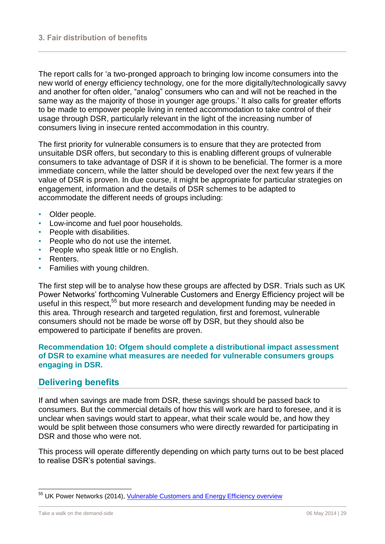The report calls for 'a two-pronged approach to bringing low income consumers into the new world of energy efficiency technology, one for the more digitally/technologically savvy and another for often older, "analog" consumers who can and will not be reached in the same way as the majority of those in younger age groups.' It also calls for greater efforts to be made to empower people living in rented accommodation to take control of their usage through DSR, particularly relevant in the light of the increasing number of consumers living in insecure rented accommodation in this country.

The first priority for vulnerable consumers is to ensure that they are protected from unsuitable DSR offers, but secondary to this is enabling different groups of vulnerable consumers to take advantage of DSR if it is shown to be beneficial. The former is a more immediate concern, while the latter should be developed over the next few years if the value of DSR is proven. In due course, it might be appropriate for particular strategies on engagement, information and the details of DSR schemes to be adapted to accommodate the different needs of groups including:

- Older people.
- Low-income and fuel poor households.
- People with disabilities.
- People who do not use the internet.
- People who speak little or no English.
- Renters.
- Families with young children.

The first step will be to analyse how these groups are affected by DSR. Trials such as UK Power Networks' forthcoming Vulnerable Customers and Energy Efficiency project will be useful in this respect,<sup>55</sup> but more research and development funding may be needed in this area. Through research and targeted regulation, first and foremost, vulnerable consumers should not be made be worse off by DSR, but they should also be empowered to participate if benefits are proven.

#### **Recommendation 10: Ofgem should complete a distributional impact assessment of DSR to examine what measures are needed for vulnerable consumers groups engaging in DSR.**

## <span id="page-29-0"></span>**Delivering benefits**

If and when savings are made from DSR, these savings should be passed back to consumers. But the commercial details of how this will work are hard to foresee, and it is unclear when savings would start to appear, what their scale would be, and how they would be split between those consumers who were directly rewarded for participating in DSR and those who were not.

This process will operate differently depending on which party turns out to be best placed to realise DSR's potential savings.

<sup>&</sup>lt;sup>55</sup> UK Power Networks (2014), [Vulnerable Customers and Energy Efficiency overview](http://innovation.ukpowernetworks.co.uk/innovation/en/Projects/tier-2-projects/Vulnerable-Customers-and-Energy-Efficiency/Project-Documents/Overview+Vulnerable+Customers+and+Energy+Efficiency-+Jan+2014.pdf)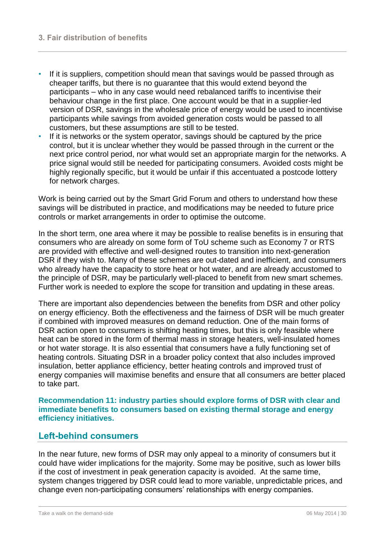- If it is suppliers, competition should mean that savings would be passed through as cheaper tariffs, but there is no guarantee that this would extend beyond the participants – who in any case would need rebalanced tariffs to incentivise their behaviour change in the first place. One account would be that in a supplier-led version of DSR, savings in the wholesale price of energy would be used to incentivise participants while savings from avoided generation costs would be passed to all customers, but these assumptions are still to be tested.
- If it is networks or the system operator, savings should be captured by the price control, but it is unclear whether they would be passed through in the current or the next price control period, nor what would set an appropriate margin for the networks. A price signal would still be needed for participating consumers. Avoided costs might be highly regionally specific, but it would be unfair if this accentuated a postcode lottery for network charges.

Work is being carried out by the Smart Grid Forum and others to understand how these savings will be distributed in practice, and modifications may be needed to future price controls or market arrangements in order to optimise the outcome.

In the short term, one area where it may be possible to realise benefits is in ensuring that consumers who are already on some form of ToU scheme such as Economy 7 or RTS are provided with effective and well-designed routes to transition into next-generation DSR if they wish to. Many of these schemes are out-dated and inefficient, and consumers who already have the capacity to store heat or hot water, and are already accustomed to the principle of DSR, may be particularly well-placed to benefit from new smart schemes. Further work is needed to explore the scope for transition and updating in these areas.

There are important also dependencies between the benefits from DSR and other policy on energy efficiency. Both the effectiveness and the fairness of DSR will be much greater if combined with improved measures on demand reduction. One of the main forms of DSR action open to consumers is shifting heating times, but this is only feasible where heat can be stored in the form of thermal mass in storage heaters, well-insulated homes or hot water storage. It is also essential that consumers have a fully functioning set of heating controls. Situating DSR in a broader policy context that also includes improved insulation, better appliance efficiency, better heating controls and improved trust of energy companies will maximise benefits and ensure that all consumers are better placed to take part.

**Recommendation 11: industry parties should explore forms of DSR with clear and immediate benefits to consumers based on existing thermal storage and energy efficiency initiatives.**

#### <span id="page-30-0"></span>**Left-behind consumers**

In the near future, new forms of DSR may only appeal to a minority of consumers but it could have wider implications for the majority. Some may be positive, such as lower bills if the cost of investment in peak generation capacity is avoided. At the same time, system changes triggered by DSR could lead to more variable, unpredictable prices, and change even non-participating consumers' relationships with energy companies.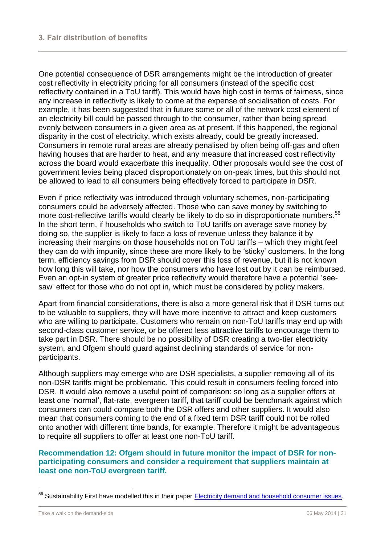One potential consequence of DSR arrangements might be the introduction of greater cost reflectivity in electricity pricing for all consumers (instead of the specific cost reflectivity contained in a ToU tariff). This would have high cost in terms of fairness, since any increase in reflectivity is likely to come at the expense of socialisation of costs. For example, it has been suggested that in future some or all of the network cost element of an electricity bill could be passed through to the consumer, rather than being spread evenly between consumers in a given area as at present. If this happened, the regional disparity in the cost of electricity, which exists already, could be greatly increased. Consumers in remote rural areas are already penalised by often being off-gas and often having houses that are harder to heat, and any measure that increased cost reflectivity across the board would exacerbate this inequality. Other proposals would see the cost of government levies being placed disproportionately on on-peak times, but this should not be allowed to lead to all consumers being effectively forced to participate in DSR.

Even if price reflectivity was introduced through voluntary schemes, non-participating consumers could be adversely affected. Those who can save money by switching to more cost-reflective tariffs would clearly be likely to do so in disproportionate numbers.<sup>56</sup> In the short term, if households who switch to ToU tariffs on average save money by doing so, the supplier is likely to face a loss of revenue unless they balance it by increasing their margins on those households not on ToU tariffs – which they might feel they can do with impunity, since these are more likely to be 'sticky' customers. In the long term, efficiency savings from DSR should cover this loss of revenue, but it is not known how long this will take, nor how the consumers who have lost out by it can be reimbursed. Even an opt-in system of greater price reflectivity would therefore have a potential 'seesaw' effect for those who do not opt in, which must be considered by policy makers.

Apart from financial considerations, there is also a more general risk that if DSR turns out to be valuable to suppliers, they will have more incentive to attract and keep customers who are willing to participate. Customers who remain on non-ToU tariffs may end up with second-class customer service, or be offered less attractive tariffs to encourage them to take part in DSR. There should be no possibility of DSR creating a two-tier electricity system, and Ofgem should guard against declining standards of service for nonparticipants.

Although suppliers may emerge who are DSR specialists, a supplier removing all of its non-DSR tariffs might be problematic. This could result in consumers feeling forced into DSR. It would also remove a useful point of comparison: so long as a supplier offers at least one 'normal', flat-rate, evergreen tariff, that tariff could be benchmark against which consumers can could compare both the DSR offers and other suppliers. It would also mean that consumers coming to the end of a fixed term DSR tariff could not be rolled onto another with different time bands, for example. Therefore it might be advantageous to require all suppliers to offer at least one non-ToU tariff.

#### **Recommendation 12: Ofgem should in future monitor the impact of DSR for nonparticipating consumers and consider a requirement that suppliers maintain at least one non-ToU evergreen tariff.**

<sup>&</sup>lt;sup>56</sup> Sustainability First have modelled this in their paper [Electricity demand and household consumer issues.](http://www.sustainabilityfirst.org.uk/docs/2013/Sustainability%20First%20-%20Paper%208%20-%20Electricity%20demand%20and%20household%20consumer%20issues%20-%20July%202013.pdf)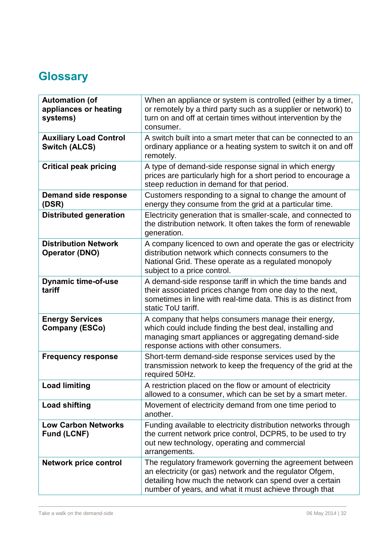# <span id="page-32-0"></span>**Glossary**

| <b>Automation (of</b><br>appliances or heating<br>systems) | When an appliance or system is controlled (either by a timer,<br>or remotely by a third party such as a supplier or network) to<br>turn on and off at certain times without intervention by the<br>consumer.                              |
|------------------------------------------------------------|-------------------------------------------------------------------------------------------------------------------------------------------------------------------------------------------------------------------------------------------|
| <b>Auxiliary Load Control</b><br><b>Switch (ALCS)</b>      | A switch built into a smart meter that can be connected to an<br>ordinary appliance or a heating system to switch it on and off<br>remotely.                                                                                              |
| <b>Critical peak pricing</b>                               | A type of demand-side response signal in which energy<br>prices are particularly high for a short period to encourage a<br>steep reduction in demand for that period.                                                                     |
| <b>Demand side response</b><br>(DSR)                       | Customers responding to a signal to change the amount of<br>energy they consume from the grid at a particular time.                                                                                                                       |
| <b>Distributed generation</b>                              | Electricity generation that is smaller-scale, and connected to<br>the distribution network. It often takes the form of renewable<br>generation.                                                                                           |
| <b>Distribution Network</b><br><b>Operator (DNO)</b>       | A company licenced to own and operate the gas or electricity<br>distribution network which connects consumers to the<br>National Grid. These operate as a regulated monopoly<br>subject to a price control.                               |
| <b>Dynamic time-of-use</b><br>tariff                       | A demand-side response tariff in which the time bands and<br>their associated prices change from one day to the next,<br>sometimes in line with real-time data. This is as distinct from<br>static ToU tariff.                            |
| <b>Energy Services</b><br><b>Company (ESCo)</b>            | A company that helps consumers manage their energy,<br>which could include finding the best deal, installing and<br>managing smart appliances or aggregating demand-side<br>response actions with other consumers.                        |
| <b>Frequency response</b>                                  | Short-term demand-side response services used by the<br>transmission network to keep the frequency of the grid at the<br>required 50Hz.                                                                                                   |
| <b>Load limiting</b>                                       | A restriction placed on the flow or amount of electricity<br>allowed to a consumer, which can be set by a smart meter.                                                                                                                    |
| <b>Load shifting</b>                                       | Movement of electricity demand from one time period to<br>another.                                                                                                                                                                        |
| <b>Low Carbon Networks</b><br><b>Fund (LCNF)</b>           | Funding available to electricity distribution networks through<br>the current network price control, DCPR5, to be used to try<br>out new technology, operating and commercial<br>arrangements.                                            |
| <b>Network price control</b>                               | The regulatory framework governing the agreement between<br>an electricity (or gas) network and the regulator Ofgem,<br>detailing how much the network can spend over a certain<br>number of years, and what it must achieve through that |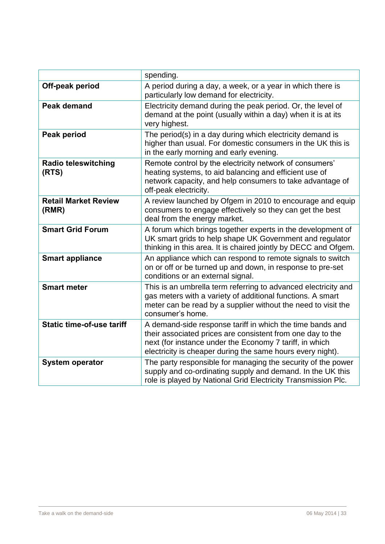|                                      | spending.                                                                                                                                                                                                                                        |
|--------------------------------------|--------------------------------------------------------------------------------------------------------------------------------------------------------------------------------------------------------------------------------------------------|
| Off-peak period                      | A period during a day, a week, or a year in which there is<br>particularly low demand for electricity.                                                                                                                                           |
| <b>Peak demand</b>                   | Electricity demand during the peak period. Or, the level of<br>demand at the point (usually within a day) when it is at its<br>very highest.                                                                                                     |
| Peak period                          | The period(s) in a day during which electricity demand is<br>higher than usual. For domestic consumers in the UK this is<br>in the early morning and early evening.                                                                              |
| <b>Radio teleswitching</b><br>(RTS)  | Remote control by the electricity network of consumers'<br>heating systems, to aid balancing and efficient use of<br>network capacity, and help consumers to take advantage of<br>off-peak electricity.                                          |
| <b>Retail Market Review</b><br>(RMR) | A review launched by Ofgem in 2010 to encourage and equip<br>consumers to engage effectively so they can get the best<br>deal from the energy market.                                                                                            |
| <b>Smart Grid Forum</b>              | A forum which brings together experts in the development of<br>UK smart grids to help shape UK Government and regulator<br>thinking in this area. It is chaired jointly by DECC and Ofgem.                                                       |
| <b>Smart appliance</b>               | An appliance which can respond to remote signals to switch<br>on or off or be turned up and down, in response to pre-set<br>conditions or an external signal.                                                                                    |
| <b>Smart meter</b>                   | This is an umbrella term referring to advanced electricity and<br>gas meters with a variety of additional functions. A smart<br>meter can be read by a supplier without the need to visit the<br>consumer's home.                                |
| <b>Static time-of-use tariff</b>     | A demand-side response tariff in which the time bands and<br>their associated prices are consistent from one day to the<br>next (for instance under the Economy 7 tariff, in which<br>electricity is cheaper during the same hours every night). |
| <b>System operator</b>               | The party responsible for managing the security of the power<br>supply and co-ordinating supply and demand. In the UK this<br>role is played by National Grid Electricity Transmission Plc.                                                      |